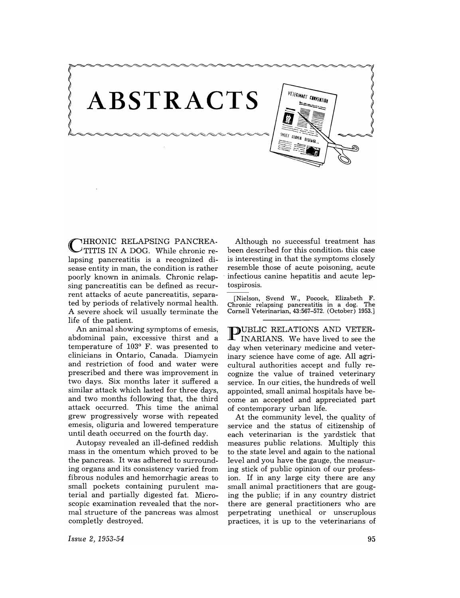

**THRONIC RELAPSING PANCREA.** TITIS IN A DOG. While chronic relapsing pancreatitis is a recognized disease entity in man, the condition is rather poorly known in animals. Chronic relapsing pancreatitis can be defined as recurrent attacks of acute pancreatitis, separated by periods of relatively normal health. A severe shock wil usually terminate the life of the patient.

An animal showing symptoms of emesis, abdominal pain, excessive thirst and a temperature of  $103^{\circ}$  F. was presented to clinicians in Ontario, Canada. Diamycin and restriction of food and water were prescribed and there was improvement in two days. Six months later it suffered a similar attack which lasted for three days, and two months following that, the third attack occurred. This time the animal grew progressively worse with repeated emesis, oliguria and lowered temperature until death occurred on the fourth day.

Autopsy revealed an ill-defined reddish mass in the omentum which proved to be the pancreas. It was adhered to surrounding organs and its consistency varied from fibrous nodules and hemorrhagic areas to small pockets containing purulent material and partially digested fat. Microscopic examination revealed that the normal structure of the pancreas was almost completly destroyed.

Although no successful treatment has been described for this condition, this case is interesting in that the symptoms closely resemble those of acute poisoning, acute . infectious canine hepatitis and acute leptospirosis.

[Nielson, Svend W., Pocock, Elizabeth F. Chronic relapsing pancreatitis in a dog. Cornell Veterinarian, 43:567-572. (October) 1953.]

**PUBLIC RELATIONS AND VETER-**<br>INARIANS. We have lived to see the day when veterinary medicine and veterinary science have come of age. All agricultural authorities accept and fully recognize the value of trained veterinary service. In our cities, the hundreds of well appointed, small animal hospitals have become an accepted and appreciated part of contemporary urban life.

At the community level, the quality of service and the status of citizenship of each veterinarian is the yardstick that measures public relations. Multiply this to the state level and again to the national level and you have the gauge, the measuring stick of public opinion of our profession. If in any large city there are any small animal practitioners that are gouging the public; if in any country district there are general practitioners who are perpetrating unethical or unscruplous practices, it is up to the veterinarians of

*Issue* 2, 1953-54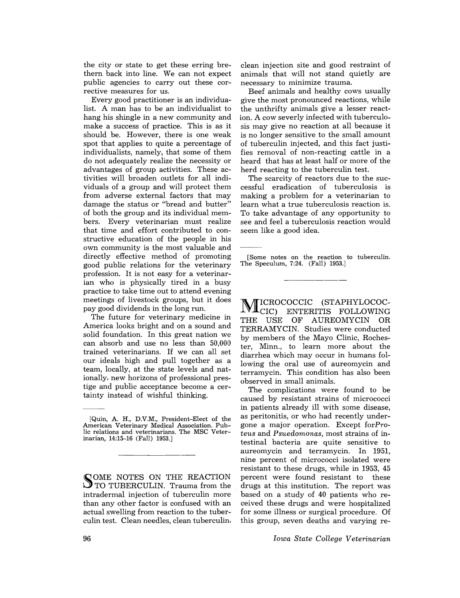the city or state to get these erring brethem back into line. We can not expect public agencies to carry out these corrective measures for us.

Every good practitioner is an individualist. A man has to be an individualist to hang his shingle in a new community and make a success of practice. This is as it should be. However, there is one weak spot that applies to quite a percentage of individualists, namely, that some of them do not adequately realize the necessity or advantages of group activities. These activities will broaden outlets for all individuals of a group and will protect them from adverse external factors that may damage the status or "bread and butter" of both the group and its individual members. Every veterinarian must realize that time and effort contributed to constructive education of the people in his own community is the most valuable and directly effective method of promoting good public relations for the veterinary profession. It is not easy for a veterinarian who is physically tired in a busy practice to take time out to attend evening meetings of livestock groups, but it does pay good dividends in the long run.

The future for veterinary medicine in America looks bright and on a sound and solid foundation. In this great nation we can absorb and use no less than 50,000 trained veterinarians. If we can all set our ideals high and pull together as a team, locally, at the state levels and nationally, new horizons of professional prestige and public acceptance become a certainty instead of wishful thinking.

COME NOTES ON THE REACTION TO TUBERCULIN. Trauma from the intradermal injection of tuberculin more than any other factor is confused with an actual swelling from reaction to the tuberculin test. Clean needles, clean tuberculin,

clean injection site and good restraint of animals that will not stand quietly are necessary to minimize trauma.

Beef animals and healthy cows usually give the most pronounced reactions, while the unthrifty animals give a lesser reaction. A cow severly infected with tuberculosis may give no reaction at all because it is no longer sensitive to the small amount of tuberculin injected, and this fact justifies removal of non-reacting cattle in a heard that has at least half or more of the herd reacting to the tuberculin test.

The scarcity of reactors due to the successful eradication of tuberculosis is making a problem for a veterinarian to learn what a true tuberculosis reaction is. To take advantage of any opportunity to see and feel a tuberculosis reaction would seem like a good idea.

[Some notes on the reaction to tuberculin. The Speculum, 7:24. (Fall) 1953.]

M ICROCOCCIC (STAPHYLOCOC- $L\Psi\blacksquare$ CIC) ENTERITIS FOLLOWING THE USE OF AUREOMYCIN OR TERRAMYCIN. Studies were conducted by members of the Mayo Clinic, Rochester, Minn., to learn more about the diarrhea which may occur in humans following the oral use of aureomycin and terramycin. This condition has also been observed in small animals.

The complications were found to be caused by resistant strains of micrococci in patients already ill with some disease, as peritonitis, or who had recently undergone a major operation. Except for  $Pro$ *teus* and *Psuedomonas,* most strains of intestinal bacteria are quite sensitive to aureomycin and terramycin. In 1951, nine percent of micrococci isolated were resistant to these drugs, while in 1953, 45 percent were found resistant to these . drugs at this institution. The report was based on a study of 40 patients who received these drugs and were hospitalized for some illness or surgical procedure. Of this group, seven deaths and varying re-

*Iowa State College Veterinarian* 

<sup>[</sup>Quin, A. H., D.V.M., President-Elect of the American Veterinary Medical Association. Public relations and veterinarians. The MSC Veterinarian, 14:15-16 (Fall) 1953.]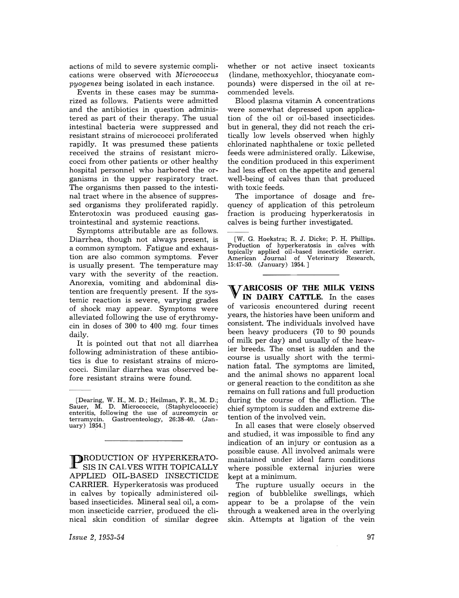actions of mild to severe systemic complications were observed with *Micrococcus pyogenes* being isolated in each instance.

Events in these cases may be summarized as follows. Patients were admitted and the antibiotics in question administered as part of their therapy. The usual intestinal bacteria were suppressed and resistant strains of micrococci proliferated rapidly. It was presumed these patients received the strains of resistant micrococci from other patients or other healthy hospital personnel who harbored the organisms in the upper respiratory tract. The organisms then passed to the intestinal tract where in the absence of suppressed organisms they proliferated rapidly. Enterotoxin was produced causing gastrointestinal and systemic reactions.

Symptoms attributable are as follows. Diarrhea, though not always present, is a common symptom. Fatigue and exhaustion are also common symptoms. Fever is usually present. The temperature may vary with the severity of the reaction. Anorexia, vomiting and abdominal distention are frequently present. If the systemic reaction is severe, varying grades of shock may appear. Symptoms were alleviated following the use of erythromycin in doses of 300 to 400 mg. four times daily.

It is pointed out that not all diarrhea following administration of these antibiotics is due to resistant strains of micrococci. Similar diarrhea was observed before resistant strains were found.

**PRODUCTION OF HYPERKERATO-**SIS IN CALVES WITH TOPICALLY APPLIED OIL-BASED INSECTICIDE CARRIER. Hyperkeratosis was produced in calves by topically administered oilbased insecticides. Mineral seal oil, a common insecticide carrier, produced the clinical skin condition of similar degree

whether or not active insect toxicants (lindane, methoxychlor, thiocyanate compounds) were dispersed in the oil at recommended levels.

Blood plasma vitamin A concentrations were somewhat depressed upon application of the oil or oil-based insecticides, but in general, they did not reach the critically low levels observed when highly chlorinated naphthalene or toxic pelleted feeds were administered orally. Likewise, the condition produced in this experiment had less effect on the appetite and general well-being of calves than that produced with toxic feeds.

The importance of dosage and frequency of application of this petroleum fraction is producing hyperkeratosis in calves is being further investigated.

*TARICOSIS OF THE MILK VEINS* **IN DAIRY CATTLE.** In the cases of varicosis encountered during recent years, the histories have been uniform and consistent. The individuals involved have been heavy producers (70 to 90 pounds of milk per day) and usually of the heavier breeds. The onset is sudden and the course is usually short with the termination fatal. The symptoms are limited, and the animal shows no apparent local or general reaction to the condititon as she remains on full rations and full production during the course of the affliction. The chief symptom is sudden and extreme distention of the involved vein.

In all cases that were closely observed and studied, it was impossible to find any indication of an injury or contusion as a possible cause. All involved animals were maintained under ideal farm conditions where possible external injuries were kept at a minimum.

The rupture usually occurs in the region of bubblelike swellings, which appear to be a prolapse of the vein through a weakened area in the overlying skin. Attempts at ligation of the vein

*Issue* 2, 1953-54

<sup>[</sup>Dearing, W. H., M. D.; Heilman, F. R., M. D.; Sauer, M. D. Micrococcic, (Staphyclococcic) enteritis, following the use of aureomycin or terramycin. Gastroenteology, 26:38-40. (January) 1954.]

<sup>[</sup>W. G. Hoekstra; R. J. Dicke; P. H. Phillips. Production of hyperkeratosis in calves with topically applied oil-based insecticide carrier. American Journal of Veterinary Research, 15:47-50. (January) 1954.]